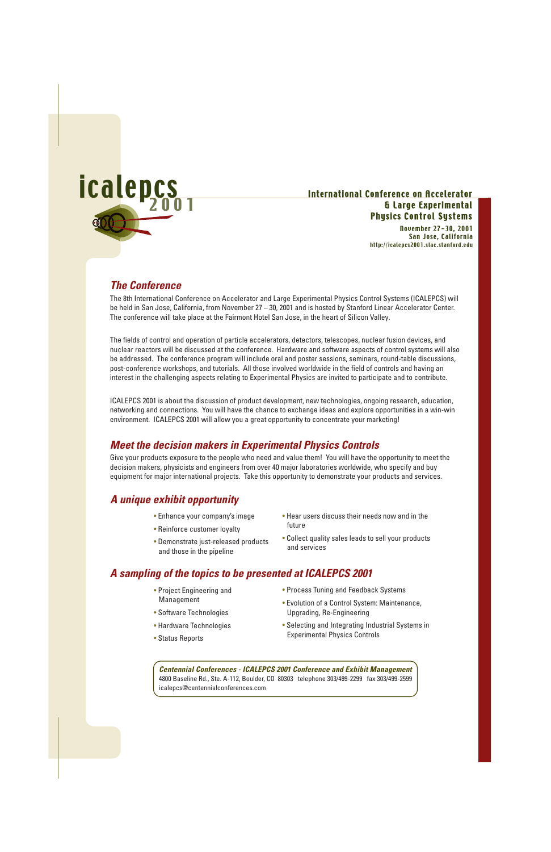

### International Conference on Accelerator & Large Experimental Physics Control Systems

November 27-30, 2001 San Jose, California http://icalepcs2001.slac.stanford.edu

## **The Conference**

The 8th International Conference on Accelerator and Large Experimental Physics Control Systems (ICALEPCS) will be held in San Jose, California, from November 27 – 30, 2001 and is hosted by Stanford Linear Accelerator Center. The conference will take place at the Fairmont Hotel San Jose, in the heart of Silicon Valley.

The fields of control and operation of particle accelerators, detectors, telescopes, nuclear fusion devices, and nuclear reactors will be discussed at the conference. Hardware and software aspects of control systems will also be addressed. The conference program will include oral and poster sessions, seminars, round-table discussions, post-conference workshops, and tutorials. All those involved worldwide in the field of controls and having an interest in the challenging aspects relating to Experimental Physics are invited to participate and to contribute.

ICALEPCS 2001 is about the discussion of product development, new technologies, ongoing research, education, networking and connections. You will have the chance to exchange ideas and explore opportunities in a win-win environment. ICALEPCS 2001 will allow you a great opportunity to concentrate your marketing!

# **Meet the decision makers in Experimental Physics Controls**

Give your products exposure to the people who need and value them! You will have the opportunity to meet the decision makers, physicists and engineers from over 40 major laboratories worldwide, who specify and buy equipment for major international projects. Take this opportunity to demonstrate your products and services.

# **A unique exhibit opportunity**

- Enhance your company's image
- Reinforce customer loyalty
- Demonstrate just-released products and those in the pipeline
- Hear users discuss their needs now and in the future
- Collect quality sales leads to sell your products and services

# **A sampling of the topics to be presented at ICALEPCS 2001**

- Project Engineering and Management
- Software Technologies
- Hardware Technologies
- Status Reports
- Process Tuning and Feedback Systems
- Evolution of a Control System: Maintenance, Upgrading, Re-Engineering
- Selecting and Integrating Industrial Systems in Experimental Physics Controls

**Centennial Conferences - ICALEPCS 2001 Conference and Exhibit Management** 4800 Baseline Rd., Ste. A-112, Boulder, CO 80303 telephone 303/499-2299 fax 303/499-2599 icalepcs@centennialconferences.com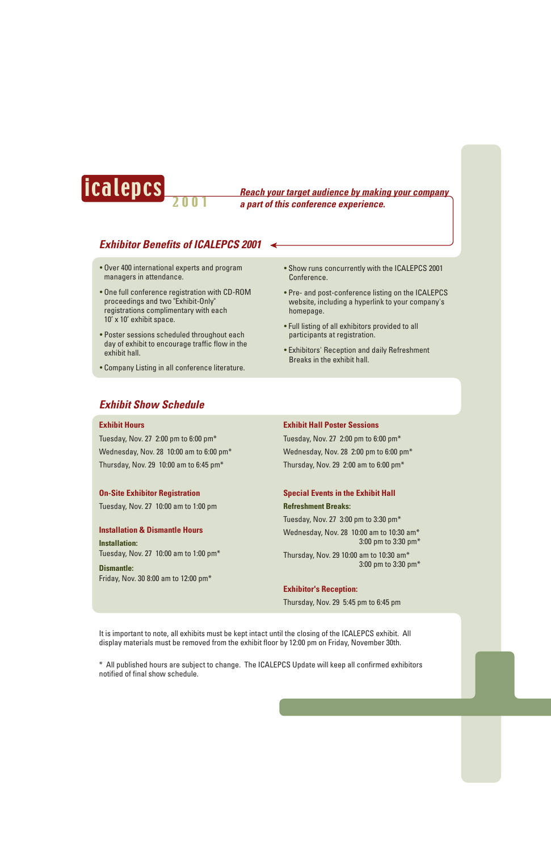

 2 0 0 1 icalepcs **Reach your target audience by making your company a part of this conference experience.**

# **Exhibitor Benefits of ICALEPCS 2001**

- Over 400 international experts and program managers in attendance.
- One full conference registration with CD-ROM proceedings and two "Exhibit-Only" registrations complimentary with each 10' x 10' exhibit space.
- Poster sessions scheduled throughout each day of exhibit to encourage traffic flow in the exhibit hall.
- Company Listing in all conference literature.
- Show runs concurrently with the ICALEPCS 2001 Conference.
- Pre- and post-conference listing on the ICALEPCS website, including a hyperlink to your company's homepage.
- Full listing of all exhibitors provided to all participants at registration.
- Exhibitors' Reception and daily Refreshment Breaks in the exhibit hall.

## **Exhibit Show Schedule**

### **Exhibit Hours**

Tuesday, Nov. 27  $2:00$  pm to 6:00 pm<sup>\*</sup> Wednesday, Nov. 28  $10:00$  am to 6:00 pm<sup>\*</sup> Thursday, Nov. 29  $10:00$  am to 6:45 pm<sup>\*</sup>

### **On-Site Exhibitor Registration**

Tuesday, Nov. 27 10:00 am to 1:00 pm

### **Installation & Dismantle Hours Installation:** Tuesday, Nov. 27  $10:00$  am to 1:00 pm<sup>\*</sup>

**Dismantle:** Friday, Nov. 30 8:00 am to 12:00 pm\*

#### **Exhibit Hall Poster Sessions**

Tuesday, Nov. 27  $2:00$  pm to 6:00 pm<sup>\*</sup> Wednesday, Nov. 28  $2:00$  pm to 6:00 pm\* Thursday, Nov. 29  $2:00$  am to 6:00 pm<sup>\*</sup>

#### **Special Events in the Exhibit Hall**

#### **Refreshment Breaks:**

Tuesday, Nov. 27  $3:00$  pm to 3:30 pm<sup>\*</sup> Wednesday, Nov. 28  $10:00$  am to 10:30 am\* 3:00 pm to 3:30 pm\* Thursday, Nov. 29 10:00 am to 10:30 am\* 3:00 pm to 3:30 pm\*

### **Exhibitor's Reception:**

Thursday, Nov. 29 5:45 pm to 6:45 pm

It is important to note, all exhibits must be kept intact until the closing of the ICALEPCS exhibit. All display materials must be removed from the exhibit floor by 12:00 pm on Friday, November 30th.

\* All published hours are subject to change. The ICALEPCS Update will keep all confirmed exhibitors notified of final show schedule.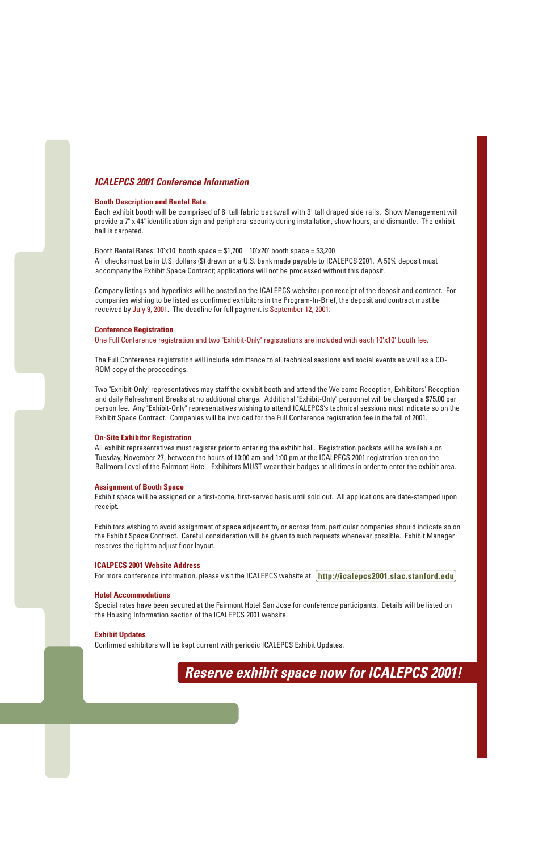## **ICALEPCS 2001 Conference Information**

### **Booth Description and Rental Rate**

Each exhibit booth will be comprised of 8' tall fabric backwall with 3' tall draped side rails. Show Management will provide a 7" x 44" identification sign and peripheral security during installation, show hours, and dismantle. The exhibit hall is carpeted.

Booth Rental Rates:  $10'x10'$  booth space = \$1,700  $10'x20'$  booth space = \$3,200 All checks must be in U.S. dollars (\$) drawn on a U.S. bank made payable to ICALEPCS 2001. A 50% deposit must accompany the Exhibit Space Contract; applications will not be processed without this deposit.

Company listings and hyperlinks will be posted on the ICALEPCS website upon receipt of the deposit and contract. For companies wishing to be listed as confirmed exhibitors in the Program-In-Brief, the deposit and contract must be received by July 9, 2001. The deadline for full payment is September 12, 2001.

### **Conference Registration**

One Full Conference registration and two "Exhibit-Only" registrations are included with each 10'x10' booth fee.

The Full Conference registration will include admittance to all technical sessions and social events as well as a CD-ROM copy of the proceedings.

Two "Exhibit-Only" representatives may staff the exhibit booth and attend the Welcome Reception, Exhibitors' Reception and daily Refreshment Breaks at no additional charge. Additional "Exhibit-Only" personnel will be charged a \$75.00 per person fee. Any "Exhibit-Only" representatives wishing to attend ICALEPCS's technical sessions must indicate so on the Exhibit Space Contract. Companies will be invoiced for the Full Conference registration fee in the fall of 2001.

### **On-Site Exhibitor Registration**

All exhibit representatives must register prior to entering the exhibit hall. Registration packets will be available on Tuesday, November 27, between the hours of 10:00 am and 1:00 pm at the ICALPECS 2001 registration area on the Ballroom Level of the Fairmont Hotel. Exhibitors MUST wear their badges at all times in order to enter the exhibit area.

#### **Assignment of Booth Space**

Exhibit space will be assigned on a first-come, first-served basis until sold out. All applications are date-stamped upon receipt.

Exhibitors wishing to avoid assignment of space adjacent to, or across from, particular companies should indicate so on the Exhibit Space Contract. Careful consideration will be given to such requests whenever possible. Exhibit Manager reserves the right to adjust floor layout.

#### **ICALPECS 2001 Website Address**

For more conference information, please visit the ICALEPCS website at **http://icalepcs2001.slac.stanford.edu**

#### **Hotel Accommodations**

Special rates have been secured at the Fairmont Hotel San Jose for conference participants. Details will be listed on the Housing Information section of the ICALEPCS 2001 website.

### **Exhibit Updates**

Confirmed exhibitors will be kept current with periodic ICALEPCS Exhibit Updates.

**Reserve exhibit space now for ICALEPCS 2001!**